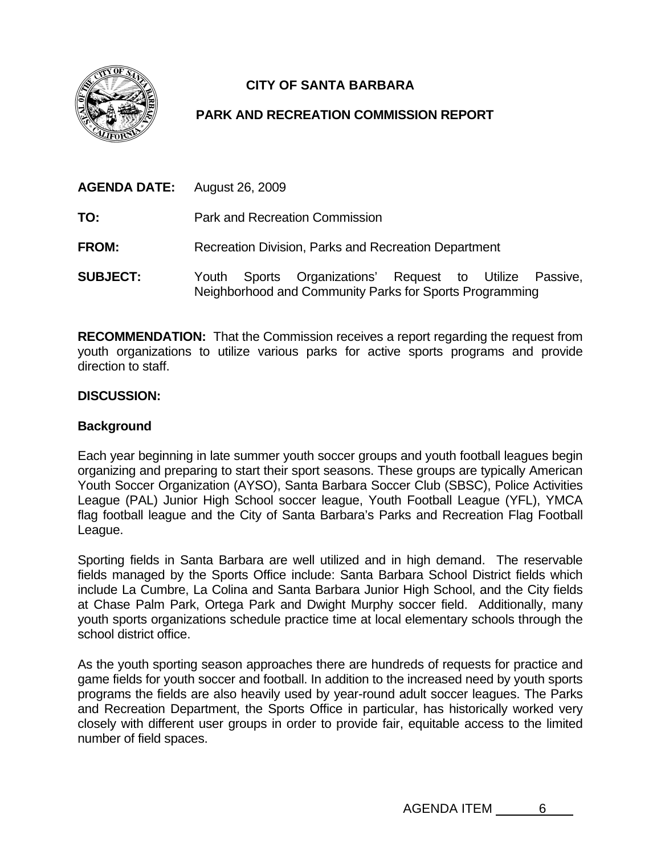

# **CITY OF SANTA BARBARA**

# **PARK AND RECREATION COMMISSION REPORT**

| <b>AGENDA DATE:</b> August 26, 2009 |                                                                                                                       |  |
|-------------------------------------|-----------------------------------------------------------------------------------------------------------------------|--|
| TO:                                 | <b>Park and Recreation Commission</b>                                                                                 |  |
| <b>FROM:</b>                        | Recreation Division, Parks and Recreation Department                                                                  |  |
| <b>SUBJECT:</b>                     | Sports Organizations' Request to Utilize Passive,<br>Youth<br>Neighborhood and Community Parks for Sports Programming |  |

**RECOMMENDATION:** That the Commission receives a report regarding the request from youth organizations to utilize various parks for active sports programs and provide direction to staff.

## **DISCUSSION:**

# **Background**

Each year beginning in late summer youth soccer groups and youth football leagues begin organizing and preparing to start their sport seasons. These groups are typically American Youth Soccer Organization (AYSO), Santa Barbara Soccer Club (SBSC), Police Activities League (PAL) Junior High School soccer league, Youth Football League (YFL), YMCA flag football league and the City of Santa Barbara's Parks and Recreation Flag Football League.

Sporting fields in Santa Barbara are well utilized and in high demand. The reservable fields managed by the Sports Office include: Santa Barbara School District fields which include La Cumbre, La Colina and Santa Barbara Junior High School, and the City fields at Chase Palm Park, Ortega Park and Dwight Murphy soccer field. Additionally, many youth sports organizations schedule practice time at local elementary schools through the school district office.

As the youth sporting season approaches there are hundreds of requests for practice and game fields for youth soccer and football. In addition to the increased need by youth sports programs the fields are also heavily used by year-round adult soccer leagues. The Parks and Recreation Department, the Sports Office in particular, has historically worked very closely with different user groups in order to provide fair, equitable access to the limited number of field spaces.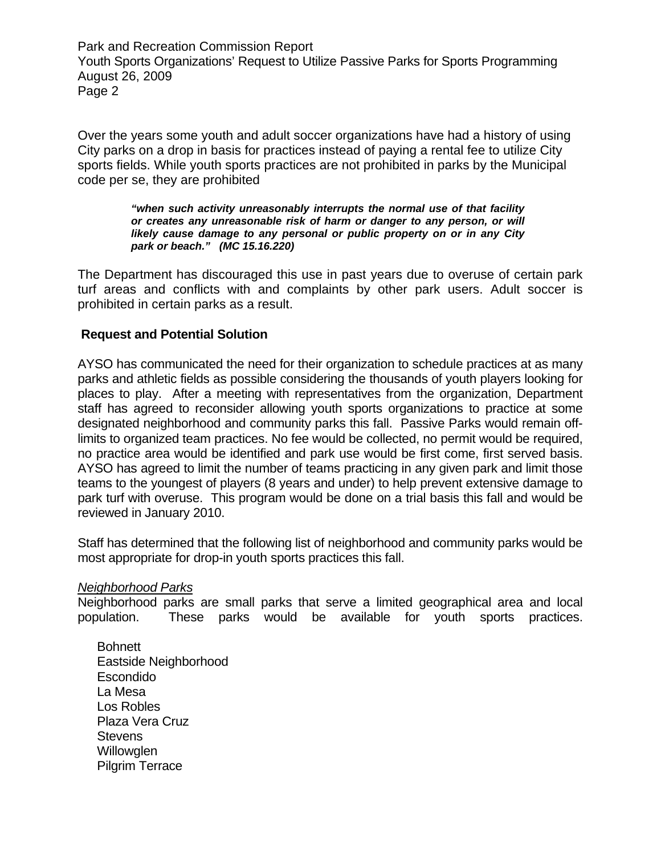Park and Recreation Commission Report Youth Sports Organizations' Request to Utilize Passive Parks for Sports Programming August 26, 2009 Page 2

Over the years some youth and adult soccer organizations have had a history of using City parks on a drop in basis for practices instead of paying a rental fee to utilize City sports fields. While youth sports practices are not prohibited in parks by the Municipal code per se, they are prohibited

> *"when such activity unreasonably interrupts the normal use of that facility or creates any unreasonable risk of harm or danger to any person, or will likely cause damage to any personal or public property on or in any City park or beach." (MC 15.16.220)*

The Department has discouraged this use in past years due to overuse of certain park turf areas and conflicts with and complaints by other park users. Adult soccer is prohibited in certain parks as a result.

#### **Request and Potential Solution**

AYSO has communicated the need for their organization to schedule practices at as many parks and athletic fields as possible considering the thousands of youth players looking for places to play. After a meeting with representatives from the organization, Department staff has agreed to reconsider allowing youth sports organizations to practice at some designated neighborhood and community parks this fall. Passive Parks would remain offlimits to organized team practices. No fee would be collected, no permit would be required, no practice area would be identified and park use would be first come, first served basis. AYSO has agreed to limit the number of teams practicing in any given park and limit those teams to the youngest of players (8 years and under) to help prevent extensive damage to park turf with overuse. This program would be done on a trial basis this fall and would be reviewed in January 2010.

Staff has determined that the following list of neighborhood and community parks would be most appropriate for drop-in youth sports practices this fall.

#### *Neighborhood Parks*

Neighborhood parks are small parks that serve a limited geographical area and local population. These parks would be available for youth sports practices.

Bohnett Eastside Neighborhood Escondido La Mesa Los Robles Plaza Vera Cruz **Stevens Willowglen** Pilgrim Terrace